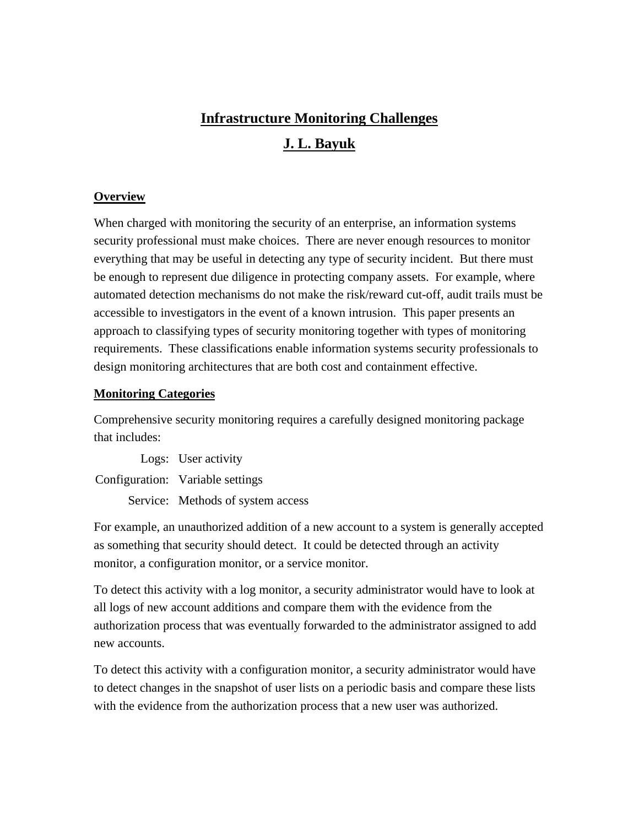# **Infrastructure Monitoring Challenges J. L. Bayuk**

#### **Overview**

When charged with monitoring the security of an enterprise, an information systems security professional must make choices. There are never enough resources to monitor everything that may be useful in detecting any type of security incident. But there must be enough to represent due diligence in protecting company assets. For example, where automated detection mechanisms do not make the risk/reward cut-off, audit trails must be accessible to investigators in the event of a known intrusion. This paper presents an approach to classifying types of security monitoring together with types of monitoring requirements. These classifications enable information systems security professionals to design monitoring architectures that are both cost and containment effective.

#### **Monitoring Categories**

Comprehensive security monitoring requires a carefully designed monitoring package that includes:

Logs: User activity Configuration: Variable settings Service: Methods of system access

For example, an unauthorized addition of a new account to a system is generally accepted as something that security should detect. It could be detected through an activity monitor, a configuration monitor, or a service monitor.

To detect this activity with a log monitor, a security administrator would have to look at all logs of new account additions and compare them with the evidence from the authorization process that was eventually forwarded to the administrator assigned to add new accounts.

To detect this activity with a configuration monitor, a security administrator would have to detect changes in the snapshot of user lists on a periodic basis and compare these lists with the evidence from the authorization process that a new user was authorized.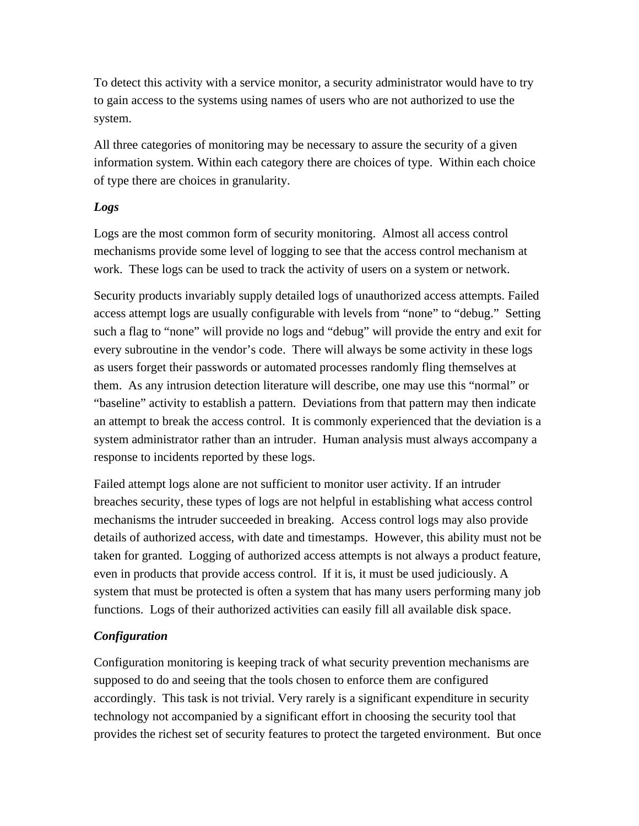To detect this activity with a service monitor, a security administrator would have to try to gain access to the systems using names of users who are not authorized to use the system.

All three categories of monitoring may be necessary to assure the security of a given information system. Within each category there are choices of type. Within each choice of type there are choices in granularity.

## *Logs*

Logs are the most common form of security monitoring. Almost all access control mechanisms provide some level of logging to see that the access control mechanism at work. These logs can be used to track the activity of users on a system or network.

Security products invariably supply detailed logs of unauthorized access attempts. Failed access attempt logs are usually configurable with levels from "none" to "debug." Setting such a flag to "none" will provide no logs and "debug" will provide the entry and exit for every subroutine in the vendor's code. There will always be some activity in these logs as users forget their passwords or automated processes randomly fling themselves at them. As any intrusion detection literature will describe, one may use this "normal" or "baseline" activity to establish a pattern. Deviations from that pattern may then indicate an attempt to break the access control. It is commonly experienced that the deviation is a system administrator rather than an intruder. Human analysis must always accompany a response to incidents reported by these logs.

Failed attempt logs alone are not sufficient to monitor user activity. If an intruder breaches security, these types of logs are not helpful in establishing what access control mechanisms the intruder succeeded in breaking. Access control logs may also provide details of authorized access, with date and timestamps. However, this ability must not be taken for granted. Logging of authorized access attempts is not always a product feature, even in products that provide access control. If it is, it must be used judiciously. A system that must be protected is often a system that has many users performing many job functions. Logs of their authorized activities can easily fill all available disk space.

# *Configuration*

Configuration monitoring is keeping track of what security prevention mechanisms are supposed to do and seeing that the tools chosen to enforce them are configured accordingly. This task is not trivial. Very rarely is a significant expenditure in security technology not accompanied by a significant effort in choosing the security tool that provides the richest set of security features to protect the targeted environment. But once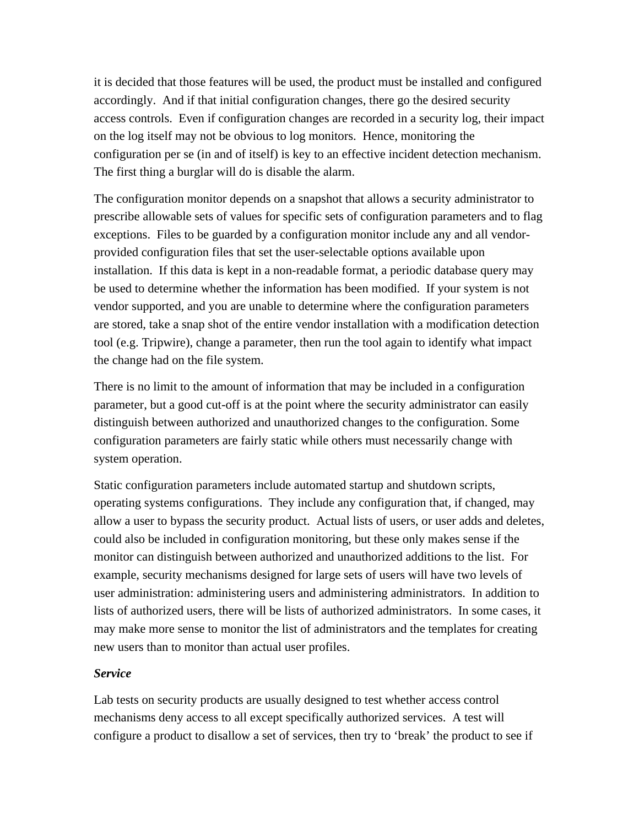it is decided that those features will be used, the product must be installed and configured accordingly. And if that initial configuration changes, there go the desired security access controls. Even if configuration changes are recorded in a security log, their impact on the log itself may not be obvious to log monitors. Hence, monitoring the configuration per se (in and of itself) is key to an effective incident detection mechanism. The first thing a burglar will do is disable the alarm.

The configuration monitor depends on a snapshot that allows a security administrator to prescribe allowable sets of values for specific sets of configuration parameters and to flag exceptions. Files to be guarded by a configuration monitor include any and all vendorprovided configuration files that set the user-selectable options available upon installation. If this data is kept in a non-readable format, a periodic database query may be used to determine whether the information has been modified. If your system is not vendor supported, and you are unable to determine where the configuration parameters are stored, take a snap shot of the entire vendor installation with a modification detection tool (e.g. Tripwire), change a parameter, then run the tool again to identify what impact the change had on the file system.

There is no limit to the amount of information that may be included in a configuration parameter, but a good cut-off is at the point where the security administrator can easily distinguish between authorized and unauthorized changes to the configuration. Some configuration parameters are fairly static while others must necessarily change with system operation.

Static configuration parameters include automated startup and shutdown scripts, operating systems configurations. They include any configuration that, if changed, may allow a user to bypass the security product. Actual lists of users, or user adds and deletes, could also be included in configuration monitoring, but these only makes sense if the monitor can distinguish between authorized and unauthorized additions to the list. For example, security mechanisms designed for large sets of users will have two levels of user administration: administering users and administering administrators. In addition to lists of authorized users, there will be lists of authorized administrators. In some cases, it may make more sense to monitor the list of administrators and the templates for creating new users than to monitor than actual user profiles.

#### *Service*

Lab tests on security products are usually designed to test whether access control mechanisms deny access to all except specifically authorized services. A test will configure a product to disallow a set of services, then try to 'break' the product to see if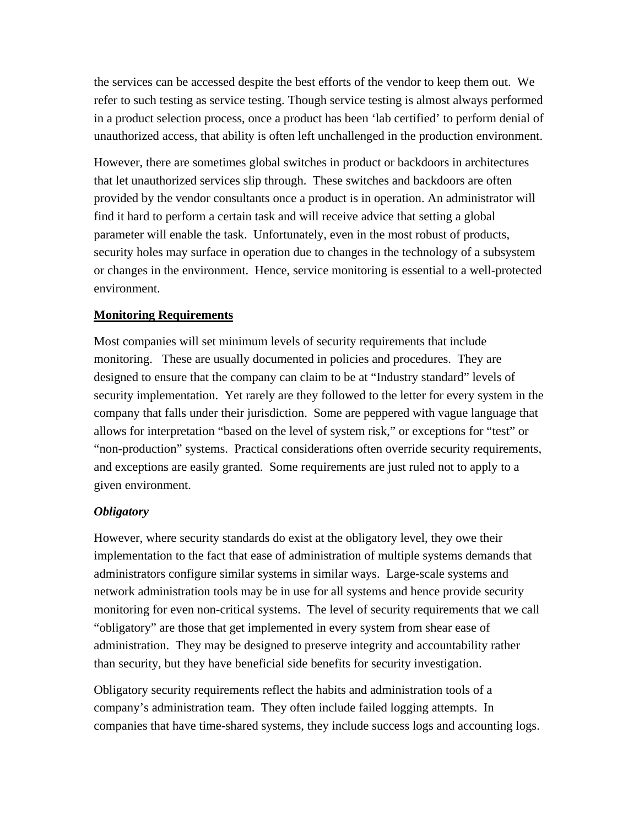the services can be accessed despite the best efforts of the vendor to keep them out. We refer to such testing as service testing. Though service testing is almost always performed in a product selection process, once a product has been 'lab certified' to perform denial of unauthorized access, that ability is often left unchallenged in the production environment.

However, there are sometimes global switches in product or backdoors in architectures that let unauthorized services slip through. These switches and backdoors are often provided by the vendor consultants once a product is in operation. An administrator will find it hard to perform a certain task and will receive advice that setting a global parameter will enable the task. Unfortunately, even in the most robust of products, security holes may surface in operation due to changes in the technology of a subsystem or changes in the environment. Hence, service monitoring is essential to a well-protected environment.

#### **Monitoring Requirements**

Most companies will set minimum levels of security requirements that include monitoring. These are usually documented in policies and procedures. They are designed to ensure that the company can claim to be at "Industry standard" levels of security implementation. Yet rarely are they followed to the letter for every system in the company that falls under their jurisdiction. Some are peppered with vague language that allows for interpretation "based on the level of system risk," or exceptions for "test" or "non-production" systems. Practical considerations often override security requirements, and exceptions are easily granted. Some requirements are just ruled not to apply to a given environment.

#### *Obligatory*

However, where security standards do exist at the obligatory level, they owe their implementation to the fact that ease of administration of multiple systems demands that administrators configure similar systems in similar ways. Large-scale systems and network administration tools may be in use for all systems and hence provide security monitoring for even non-critical systems. The level of security requirements that we call "obligatory" are those that get implemented in every system from shear ease of administration. They may be designed to preserve integrity and accountability rather than security, but they have beneficial side benefits for security investigation.

Obligatory security requirements reflect the habits and administration tools of a company's administration team. They often include failed logging attempts. In companies that have time-shared systems, they include success logs and accounting logs.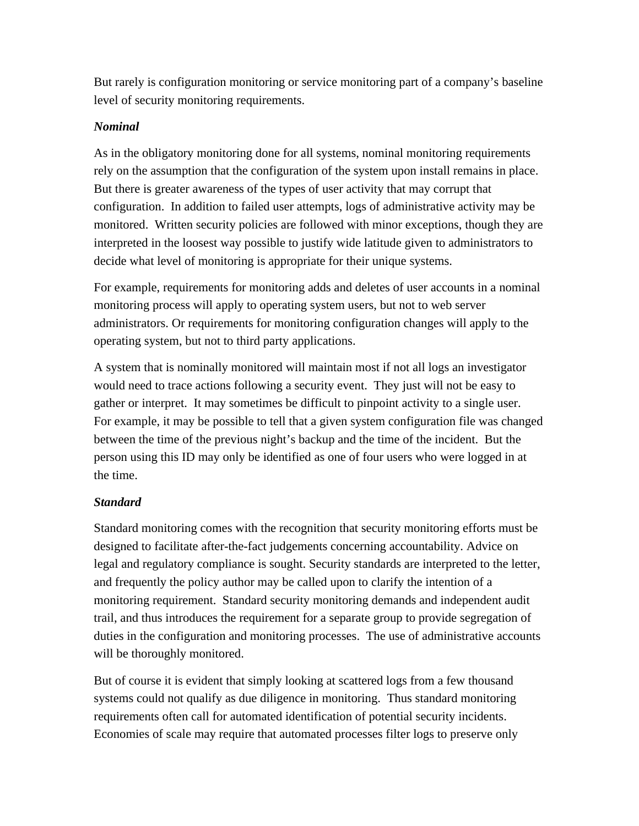But rarely is configuration monitoring or service monitoring part of a company's baseline level of security monitoring requirements.

## *Nominal*

As in the obligatory monitoring done for all systems, nominal monitoring requirements rely on the assumption that the configuration of the system upon install remains in place. But there is greater awareness of the types of user activity that may corrupt that configuration. In addition to failed user attempts, logs of administrative activity may be monitored. Written security policies are followed with minor exceptions, though they are interpreted in the loosest way possible to justify wide latitude given to administrators to decide what level of monitoring is appropriate for their unique systems.

For example, requirements for monitoring adds and deletes of user accounts in a nominal monitoring process will apply to operating system users, but not to web server administrators. Or requirements for monitoring configuration changes will apply to the operating system, but not to third party applications.

A system that is nominally monitored will maintain most if not all logs an investigator would need to trace actions following a security event. They just will not be easy to gather or interpret. It may sometimes be difficult to pinpoint activity to a single user. For example, it may be possible to tell that a given system configuration file was changed between the time of the previous night's backup and the time of the incident. But the person using this ID may only be identified as one of four users who were logged in at the time.

# *Standard*

Standard monitoring comes with the recognition that security monitoring efforts must be designed to facilitate after-the-fact judgements concerning accountability. Advice on legal and regulatory compliance is sought. Security standards are interpreted to the letter, and frequently the policy author may be called upon to clarify the intention of a monitoring requirement. Standard security monitoring demands and independent audit trail, and thus introduces the requirement for a separate group to provide segregation of duties in the configuration and monitoring processes. The use of administrative accounts will be thoroughly monitored.

But of course it is evident that simply looking at scattered logs from a few thousand systems could not qualify as due diligence in monitoring. Thus standard monitoring requirements often call for automated identification of potential security incidents. Economies of scale may require that automated processes filter logs to preserve only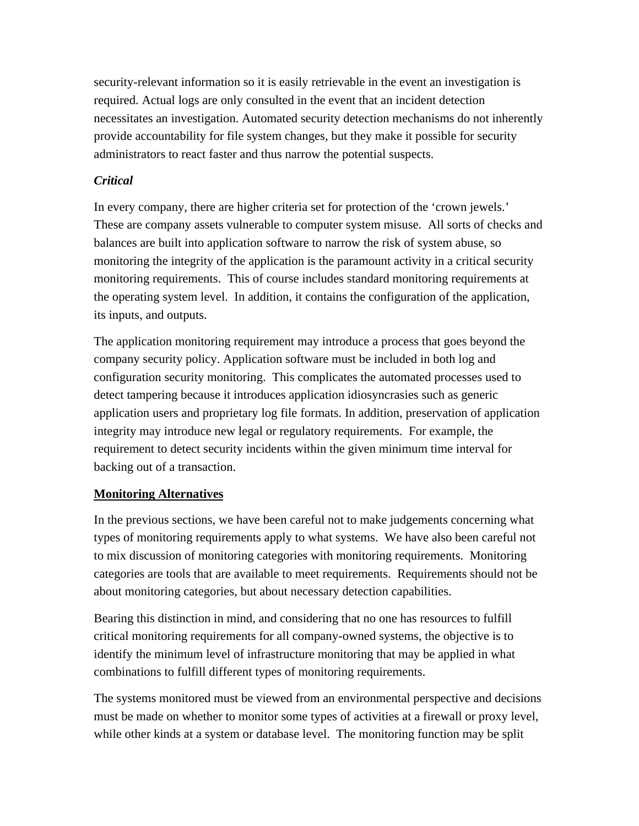security-relevant information so it is easily retrievable in the event an investigation is required. Actual logs are only consulted in the event that an incident detection necessitates an investigation. Automated security detection mechanisms do not inherently provide accountability for file system changes, but they make it possible for security administrators to react faster and thus narrow the potential suspects.

## *Critical*

In every company, there are higher criteria set for protection of the 'crown jewels.' These are company assets vulnerable to computer system misuse. All sorts of checks and balances are built into application software to narrow the risk of system abuse, so monitoring the integrity of the application is the paramount activity in a critical security monitoring requirements. This of course includes standard monitoring requirements at the operating system level. In addition, it contains the configuration of the application, its inputs, and outputs.

The application monitoring requirement may introduce a process that goes beyond the company security policy. Application software must be included in both log and configuration security monitoring. This complicates the automated processes used to detect tampering because it introduces application idiosyncrasies such as generic application users and proprietary log file formats. In addition, preservation of application integrity may introduce new legal or regulatory requirements. For example, the requirement to detect security incidents within the given minimum time interval for backing out of a transaction.

#### **Monitoring Alternatives**

In the previous sections, we have been careful not to make judgements concerning what types of monitoring requirements apply to what systems. We have also been careful not to mix discussion of monitoring categories with monitoring requirements. Monitoring categories are tools that are available to meet requirements. Requirements should not be about monitoring categories, but about necessary detection capabilities.

Bearing this distinction in mind, and considering that no one has resources to fulfill critical monitoring requirements for all company-owned systems, the objective is to identify the minimum level of infrastructure monitoring that may be applied in what combinations to fulfill different types of monitoring requirements.

The systems monitored must be viewed from an environmental perspective and decisions must be made on whether to monitor some types of activities at a firewall or proxy level, while other kinds at a system or database level. The monitoring function may be split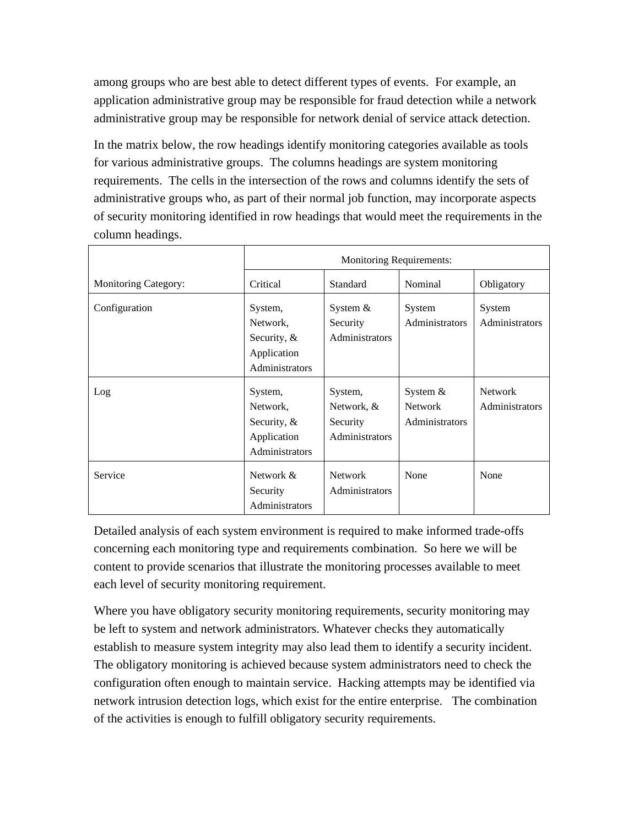among groups who are best able to detect different types of events. For example, an application administrative group may be responsible for fraud detection while a network administrative group may be responsible for network denial of service attack detection.

In the matrix below, the row headings identify monitoring categories available as tools for various administrative groups. The columns headings are system monitoring requirements. The cells in the intersection of the rows and columns identify the sets of administrative groups who, as part of their normal job function, may incorporate aspects of security monitoring identified in row headings that would meet the requirements in the column headings.

|                             | <b>Monitoring Requirements:</b>                                        |                                                     |                                              |                                  |
|-----------------------------|------------------------------------------------------------------------|-----------------------------------------------------|----------------------------------------------|----------------------------------|
| <b>Monitoring Category:</b> | Critical                                                               | Standard                                            | Nominal                                      | Obligatory                       |
| Configuration               | System,<br>Network,<br>Security, $\&$<br>Application<br>Administrators | System $&$<br>Security<br>Administrators            | System<br>Administrators                     | System<br>Administrators         |
| Log                         | System,<br>Network,<br>Security, &<br>Application<br>Administrators    | System,<br>Network, &<br>Security<br>Administrators | System &<br><b>Network</b><br>Administrators | <b>Network</b><br>Administrators |
| Service                     | Network &<br>Security<br>Administrators                                | <b>Network</b><br>Administrators                    | None                                         | None                             |

Detailed analysis of each system environment is required to make informed trade-offs concerning each monitoring type and requirements combination. So here we will be content to provide scenarios that illustrate the monitoring processes available to meet each level of security monitoring requirement.

Where you have obligatory security monitoring requirements, security monitoring may be left to system and network administrators. Whatever checks they automatically establish to measure system integrity may also lead them to identify a security incident. The obligatory monitoring is achieved because system administrators need to check the configuration often enough to maintain service. Hacking attempts may be identified via network intrusion detection logs, which exist for the entire enterprise. The combination of the activities is enough to fulfill obligatory security requirements.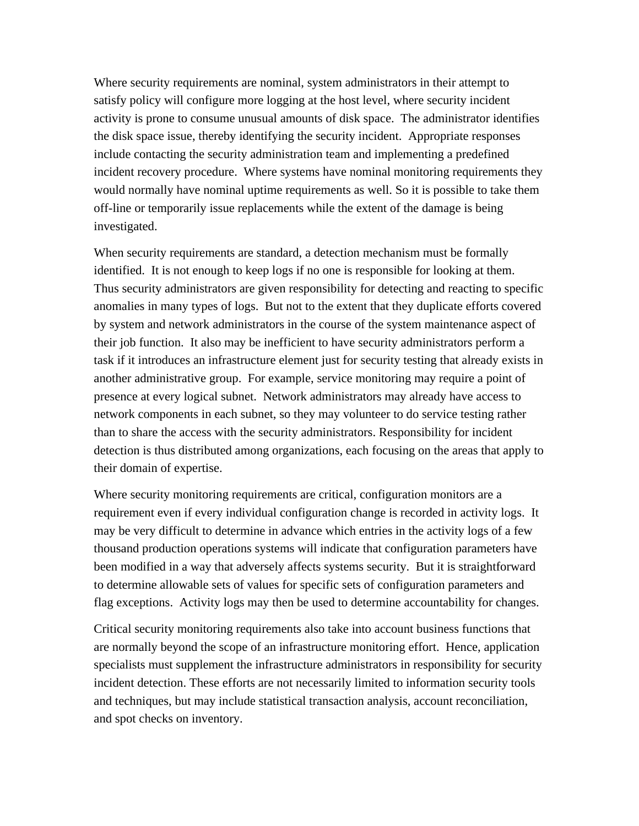Where security requirements are nominal, system administrators in their attempt to satisfy policy will configure more logging at the host level, where security incident activity is prone to consume unusual amounts of disk space. The administrator identifies the disk space issue, thereby identifying the security incident. Appropriate responses include contacting the security administration team and implementing a predefined incident recovery procedure. Where systems have nominal monitoring requirements they would normally have nominal uptime requirements as well. So it is possible to take them off-line or temporarily issue replacements while the extent of the damage is being investigated.

When security requirements are standard, a detection mechanism must be formally identified. It is not enough to keep logs if no one is responsible for looking at them. Thus security administrators are given responsibility for detecting and reacting to specific anomalies in many types of logs. But not to the extent that they duplicate efforts covered by system and network administrators in the course of the system maintenance aspect of their job function. It also may be inefficient to have security administrators perform a task if it introduces an infrastructure element just for security testing that already exists in another administrative group. For example, service monitoring may require a point of presence at every logical subnet. Network administrators may already have access to network components in each subnet, so they may volunteer to do service testing rather than to share the access with the security administrators. Responsibility for incident detection is thus distributed among organizations, each focusing on the areas that apply to their domain of expertise.

Where security monitoring requirements are critical, configuration monitors are a requirement even if every individual configuration change is recorded in activity logs. It may be very difficult to determine in advance which entries in the activity logs of a few thousand production operations systems will indicate that configuration parameters have been modified in a way that adversely affects systems security. But it is straightforward to determine allowable sets of values for specific sets of configuration parameters and flag exceptions. Activity logs may then be used to determine accountability for changes.

Critical security monitoring requirements also take into account business functions that are normally beyond the scope of an infrastructure monitoring effort. Hence, application specialists must supplement the infrastructure administrators in responsibility for security incident detection. These efforts are not necessarily limited to information security tools and techniques, but may include statistical transaction analysis, account reconciliation, and spot checks on inventory.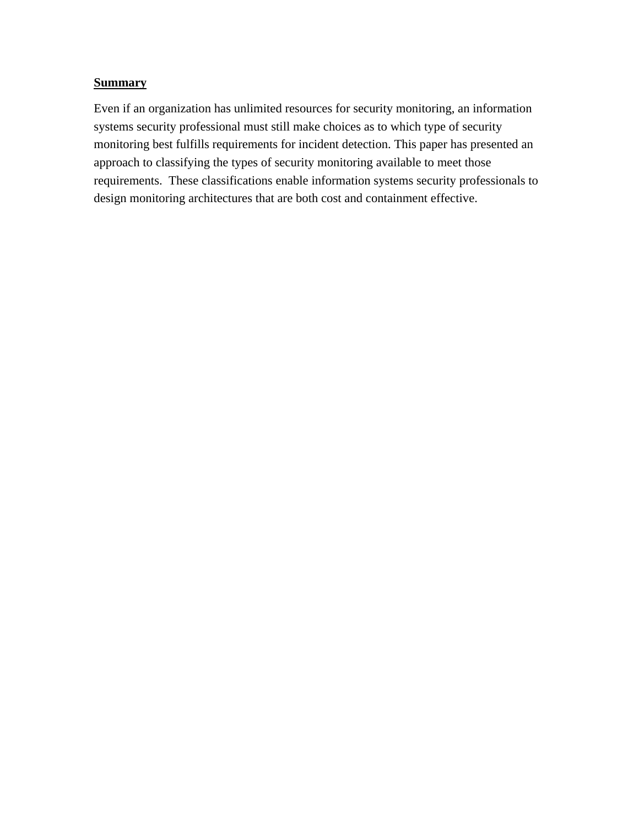#### **Summary**

Even if an organization has unlimited resources for security monitoring, an information systems security professional must still make choices as to which type of security monitoring best fulfills requirements for incident detection. This paper has presented an approach to classifying the types of security monitoring available to meet those requirements. These classifications enable information systems security professionals to design monitoring architectures that are both cost and containment effective.